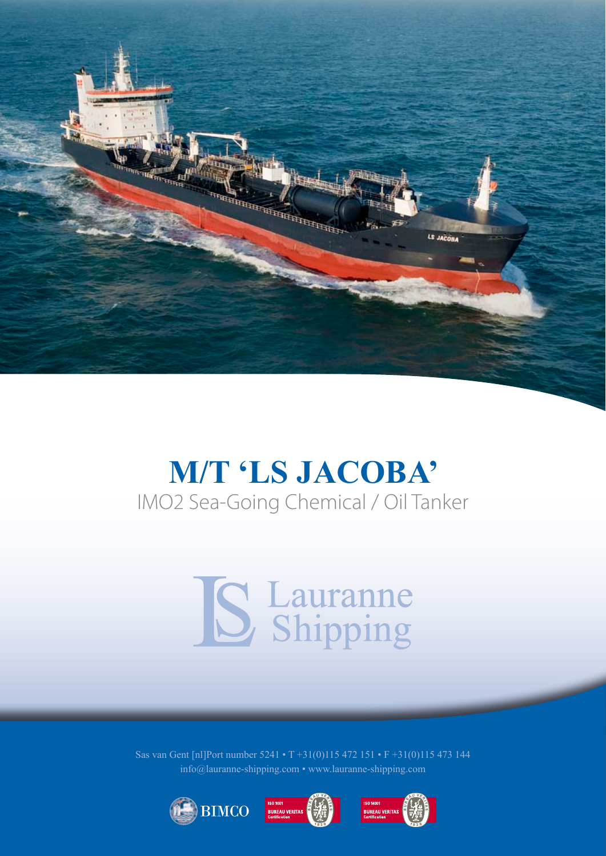

## **M/T 'LS JACOBA'** IMO2 Sea-Going Chemical / Oil Tanker

## S Lauranne

Sas van Gent [nl]Port number 5241 • T +31(0)115 472 151 • F +31(0)115 473 144 info@lauranne-shipping.com • www.lauranne-shipping.com